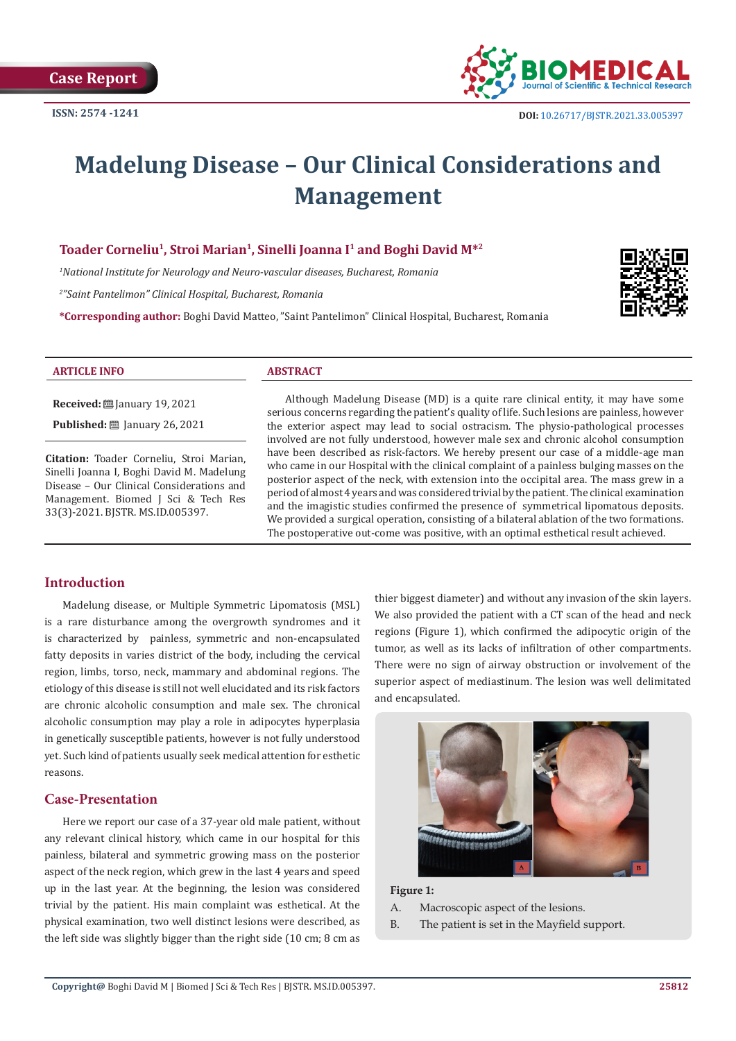

# **Madelung Disease – Our Clinical Considerations and Management**

# **Toader Corneliu1, Stroi Marian1, Sinelli Joanna I1 and Boghi David M\*2**

*1 National Institute for Neurology and Neuro-vascular diseases, Bucharest, Romania*

*2 "Saint Pantelimon" Clinical Hospital, Bucharest, Romania*

**\*Corresponding author:** Boghi David Matteo, "Saint Pantelimon" Clinical Hospital, Bucharest, Romania



#### **ARTICLE INFO ABSTRACT**

**Received:** January 19, 2021 **Published:** ■ January 26, 2021

**Citation:** Toader Corneliu, Stroi Marian, Sinelli Joanna I, Boghi David M. Madelung Disease – Our Clinical Considerations and Management. Biomed J Sci & Tech Res 33(3)-2021. BJSTR. MS.ID.005397.

Although Madelung Disease (MD) is a quite rare clinical entity, it may have some serious concerns regarding the patient's quality of life. Such lesions are painless, however the exterior aspect may lead to social ostracism. The physio-pathological processes involved are not fully understood, however male sex and chronic alcohol consumption have been described as risk-factors. We hereby present our case of a middle-age man who came in our Hospital with the clinical complaint of a painless bulging masses on the posterior aspect of the neck, with extension into the occipital area. The mass grew in a period of almost 4 years and was considered trivial by the patient. The clinical examination and the imagistic studies confirmed the presence of symmetrical lipomatous deposits. We provided a surgical operation, consisting of a bilateral ablation of the two formations. The postoperative out-come was positive, with an optimal esthetical result achieved.

# **Introduction**

Madelung disease, or Multiple Symmetric Lipomatosis (MSL) is a rare disturbance among the overgrowth syndromes and it is characterized by painless, symmetric and non-encapsulated fatty deposits in varies district of the body, including the cervical region, limbs, torso, neck, mammary and abdominal regions. The etiology of this disease is still not well elucidated and its risk factors are chronic alcoholic consumption and male sex. The chronical alcoholic consumption may play a role in adipocytes hyperplasia in genetically susceptible patients, however is not fully understood yet. Such kind of patients usually seek medical attention for esthetic reasons.

## **Case-Presentation**

Here we report our case of a 37-year old male patient, without any relevant clinical history, which came in our hospital for this painless, bilateral and symmetric growing mass on the posterior aspect of the neck region, which grew in the last 4 years and speed up in the last year. At the beginning, the lesion was considered trivial by the patient. His main complaint was esthetical. At the physical examination, two well distinct lesions were described, as the left side was slightly bigger than the right side (10 cm; 8 cm as

thier biggest diameter) and without any invasion of the skin layers. We also provided the patient with a CT scan of the head and neck regions (Figure 1), which confirmed the adipocytic origin of the tumor, as well as its lacks of infiltration of other compartments. There were no sign of airway obstruction or involvement of the superior aspect of mediastinum. The lesion was well delimitated and encapsulated.



#### **Figure 1:**

- A. Macroscopic aspect of the lesions.
- B. The patient is set in the Mayfield support.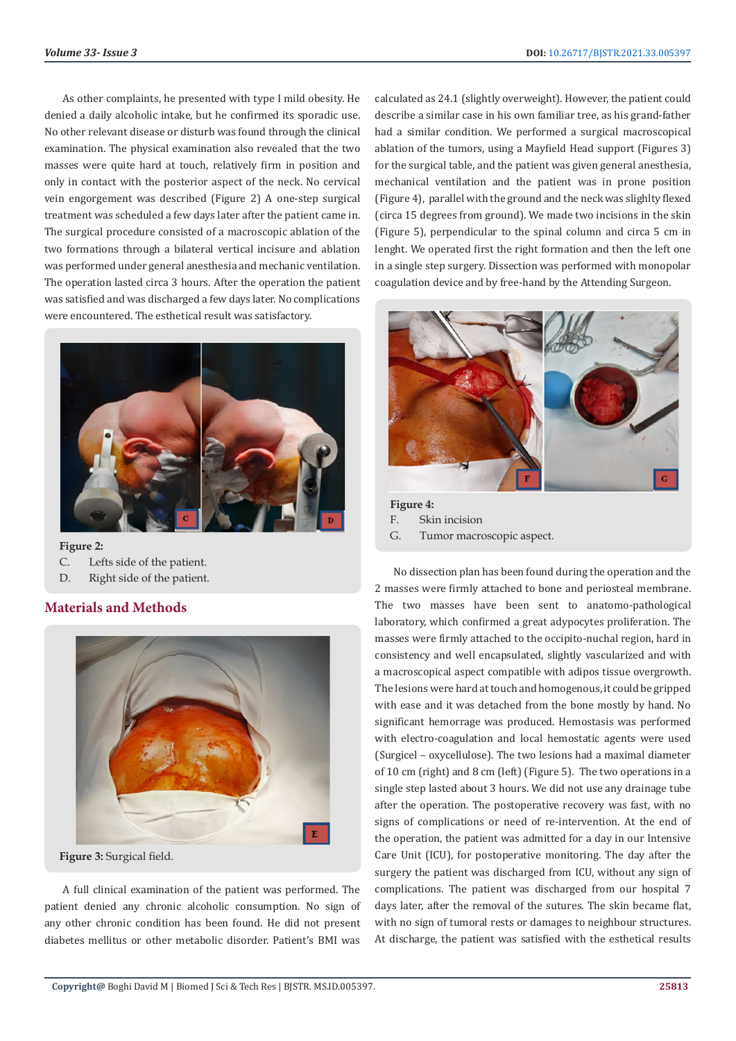As other complaints, he presented with type I mild obesity. He denied a daily alcoholic intake, but he confirmed its sporadic use. No other relevant disease or disturb was found through the clinical examination. The physical examination also revealed that the two masses were quite hard at touch, relatively firm in position and only in contact with the posterior aspect of the neck. No cervical vein engorgement was described (Figure 2) A one-step surgical treatment was scheduled a few days later after the patient came in. The surgical procedure consisted of a macroscopic ablation of the two formations through a bilateral vertical incisure and ablation was performed under general anesthesia and mechanic ventilation. The operation lasted circa 3 hours. After the operation the patient was satisfied and was discharged a few days later. No complications were encountered. The esthetical result was satisfactory.



**Figure 2:** 

- C. Lefts side of the patient.
- D. Right side of the patient.

## **Materials and Methods**



**Figure 3:** Surgical field.

A full clinical examination of the patient was performed. The patient denied any chronic alcoholic consumption. No sign of any other chronic condition has been found. He did not present diabetes mellitus or other metabolic disorder. Patient's BMI was

calculated as 24.1 (slightly overweight). However, the patient could describe a similar case in his own familiar tree, as his grand-father had a similar condition. We performed a surgical macroscopical ablation of the tumors, using a Mayfield Head support (Figures 3) for the surgical table, and the patient was given general anesthesia, mechanical ventilation and the patient was in prone position (Figure 4), parallel with the ground and the neck was slighlty flexed (circa 15 degrees from ground). We made two incisions in the skin (Figure 5), perpendicular to the spinal column and circa 5 cm in lenght. We operated first the right formation and then the left one in a single step surgery. Dissection was performed with monopolar coagulation device and by free-hand by the Attending Surgeon.



**Figure 4:**  F. Skin incision G. Tumor macroscopic aspect.

No dissection plan has been found during the operation and the 2 masses were firmly attached to bone and periosteal membrane. The two masses have been sent to anatomo-pathological laboratory, which confirmed a great adypocytes proliferation. The masses were firmly attached to the occipito-nuchal region, hard in consistency and well encapsulated, slightly vascularized and with a macroscopical aspect compatible with adipos tissue overgrowth. The lesions were hard at touch and homogenous, it could be gripped with ease and it was detached from the bone mostly by hand. No significant hemorrage was produced. Hemostasis was performed with electro-coagulation and local hemostatic agents were used (Surgicel – oxycellulose). The two lesions had a maximal diameter of 10 cm (right) and 8 cm (left) (Figure 5). The two operations in a single step lasted about 3 hours. We did not use any drainage tube after the operation. The postoperative recovery was fast, with no signs of complications or need of re-intervention. At the end of the operation, the patient was admitted for a day in our Intensive Care Unit (ICU), for postoperative monitoring. The day after the surgery the patient was discharged from ICU, without any sign of complications. The patient was discharged from our hospital 7 days later, after the removal of the sutures. The skin became flat, with no sign of tumoral rests or damages to neighbour structures. At discharge, the patient was satisfied with the esthetical results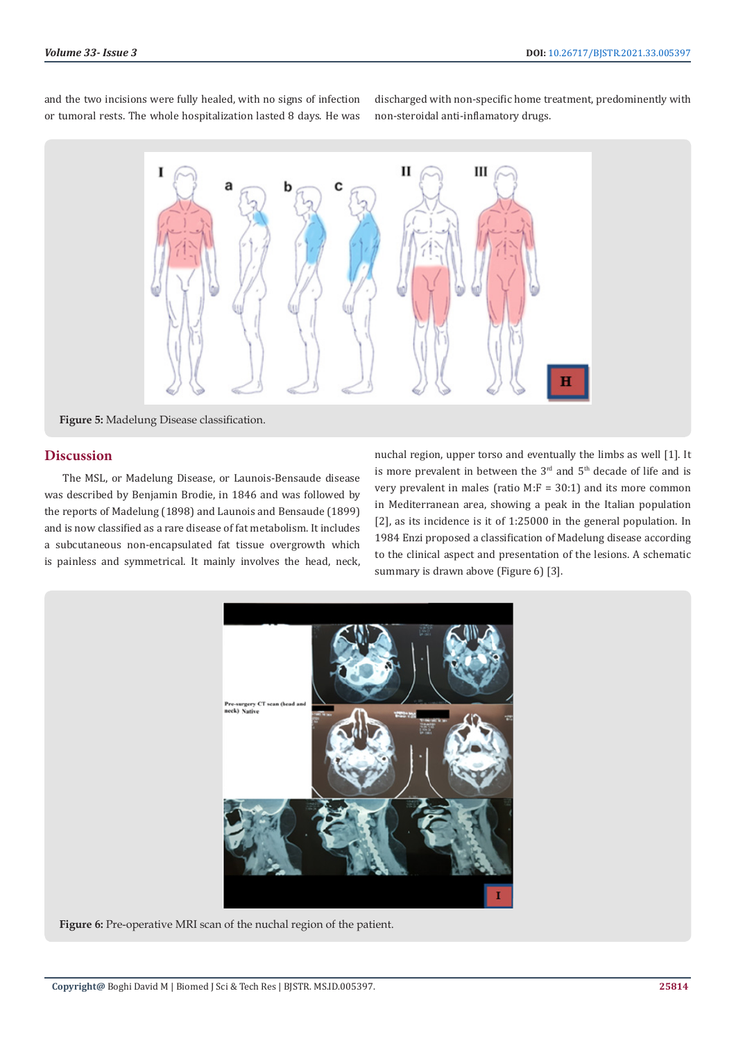and the two incisions were fully healed, with no signs of infection or tumoral rests. The whole hospitalization lasted 8 days. He was discharged with non-specific home treatment, predominently with non-steroidal anti-inflamatory drugs.



**Figure 5:** Madelung Disease classification.

# **Discussion**

The MSL, or Madelung Disease, or Launois-Bensaude disease was described by Benjamin Brodie, in 1846 and was followed by the reports of Madelung (1898) and Launois and Bensaude (1899) and is now classified as a rare disease of fat metabolism. It includes a subcutaneous non-encapsulated fat tissue overgrowth which is painless and symmetrical. It mainly involves the head, neck,

nuchal region, upper torso and eventually the limbs as well [1]. It is more prevalent in between the  $3<sup>rd</sup>$  and  $5<sup>th</sup>$  decade of life and is very prevalent in males (ratio  $M: F = 30:1$ ) and its more common in Mediterranean area, showing a peak in the Italian population [2], as its incidence is it of 1:25000 in the general population. In 1984 Enzi proposed a classification of Madelung disease according to the clinical aspect and presentation of the lesions. A schematic summary is drawn above (Figure 6) [3].



Figure 6: Pre-operative MRI scan of the nuchal region of the patient.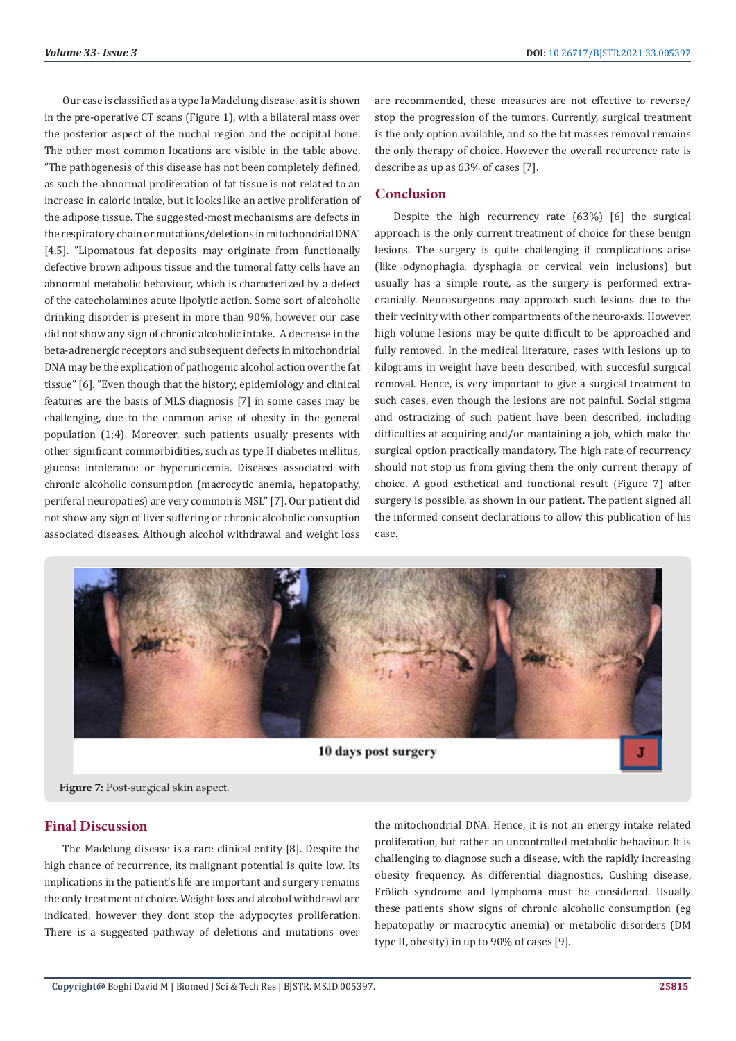Our case is classified as a type Ia Madelung disease, as it is shown in the pre-operative CT scans (Figure 1), with a bilateral mass over the posterior aspect of the nuchal region and the occipital bone. The other most common locations are visible in the table above. "The pathogenesis of this disease has not been completely defined, as such the abnormal proliferation of fat tissue is not related to an increase in caloric intake, but it looks like an active proliferation of the adipose tissue. The suggested-most mechanisms are defects in the respiratory chain or mutations/deletions in mitochondrial DNA" [4,5]. "Lipomatous fat deposits may originate from functionally defective brown adipous tissue and the tumoral fatty cells have an abnormal metabolic behaviour, which is characterized by a defect of the catecholamines acute lipolytic action. Some sort of alcoholic drinking disorder is present in more than 90%, however our case did not show any sign of chronic alcoholic intake. A decrease in the beta-adrenergic receptors and subsequent defects in mitochondrial DNA may be the explication of pathogenic alcohol action over the fat tissue" [6]. "Even though that the history, epidemiology and clinical features are the basis of MLS diagnosis [7] in some cases may be challenging, due to the common arise of obesity in the general population (1;4). Moreover, such patients usually presents with other significant commorbidities, such as type II diabetes mellitus, glucose intolerance or hyperuricemia. Diseases associated with chronic alcoholic consumption (macrocytic anemia, hepatopathy, periferal neuropaties) are very common is MSL" [7]. Our patient did not show any sign of liver suffering or chronic alcoholic consuption associated diseases. Although alcohol withdrawal and weight loss

are recommended, these measures are not effective to reverse/ stop the progression of the tumors. Currently, surgical treatment is the only option available, and so the fat masses removal remains the only therapy of choice. However the overall recurrence rate is describe as up as 63% of cases [7].

# **Conclusion**

Despite the high recurrency rate (63%) [6] the surgical approach is the only current treatment of choice for these benign lesions. The surgery is quite challenging if complications arise (like odynophagia, dysphagia or cervical vein inclusions) but usually has a simple route, as the surgery is performed extracranially. Neurosurgeons may approach such lesions due to the their vecinity with other compartments of the neuro-axis. However, high volume lesions may be quite difficult to be approached and fully removed. In the medical literature, cases with lesions up to kilograms in weight have been described, with succesful surgical removal. Hence, is very important to give a surgical treatment to such cases, even though the lesions are not painful. Social stigma and ostracizing of such patient have been described, including difficulties at acquiring and/or mantaining a job, which make the surgical option practically mandatory. The high rate of recurrency should not stop us from giving them the only current therapy of choice. A good esthetical and functional result (Figure 7) after surgery is possible, as shown in our patient. The patient signed all the informed consent declarations to allow this publication of his case.



**Figure 7:** Post-surgical skin aspect.

# **Final Discussion**

The Madelung disease is a rare clinical entity [8]. Despite the high chance of recurrence, its malignant potential is quite low. Its implications in the patient's life are important and surgery remains the only treatment of choice. Weight loss and alcohol withdrawl are indicated, however they dont stop the adypocytes proliferation. There is a suggested pathway of deletions and mutations over the mitochondrial DNA. Hence, it is not an energy intake related proliferation, but rather an uncontrolled metabolic behaviour. It is challenging to diagnose such a disease, with the rapidly increasing obesity frequency. As differential diagnostics, Cushing disease, Frölich syndrome and lymphoma must be considered. Usually these patients show signs of chronic alcoholic consumption (eg hepatopathy or macrocytic anemia) or metabolic disorders (DM type II, obesity) in up to 90% of cases [9].